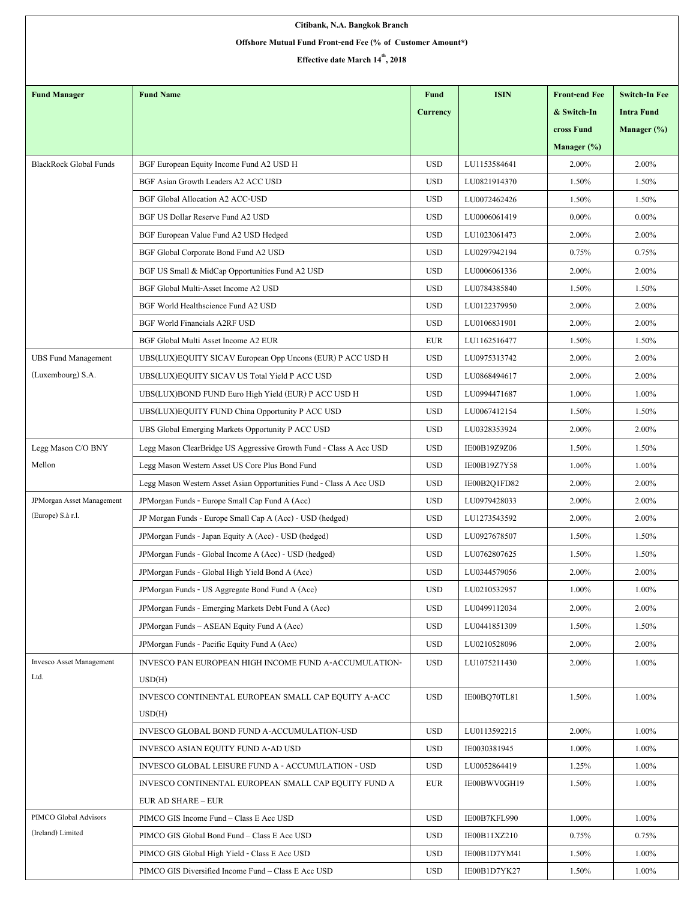| Citibank, N.A. Bangkok Branch                              |                                                                     |                 |              |                      |                      |  |  |  |  |  |
|------------------------------------------------------------|---------------------------------------------------------------------|-----------------|--------------|----------------------|----------------------|--|--|--|--|--|
| Offshore Mutual Fund Front-end Fee (% of Customer Amount*) |                                                                     |                 |              |                      |                      |  |  |  |  |  |
| Effective date March 14 <sup>th</sup> , 2018               |                                                                     |                 |              |                      |                      |  |  |  |  |  |
|                                                            |                                                                     |                 |              |                      |                      |  |  |  |  |  |
| <b>Fund Manager</b>                                        | <b>Fund Name</b>                                                    | <b>Fund</b>     | <b>ISIN</b>  | <b>Front-end Fee</b> | <b>Switch-In Fee</b> |  |  |  |  |  |
|                                                            |                                                                     | <b>Currency</b> |              | & Switch-In          | <b>Intra Fund</b>    |  |  |  |  |  |
|                                                            |                                                                     |                 |              | cross Fund           | Manager (%)          |  |  |  |  |  |
|                                                            |                                                                     |                 |              | Manager $(\%)$       |                      |  |  |  |  |  |
| <b>BlackRock Global Funds</b>                              | BGF European Equity Income Fund A2 USD H                            | <b>USD</b>      | LU1153584641 | 2.00%                | 2.00%                |  |  |  |  |  |
|                                                            | BGF Asian Growth Leaders A2 ACC USD                                 | <b>USD</b>      | LU0821914370 | 1.50%                | 1.50%                |  |  |  |  |  |
|                                                            | BGF Global Allocation A2 ACC-USD                                    | <b>USD</b>      | LU0072462426 | 1.50%                | 1.50%                |  |  |  |  |  |
|                                                            | BGF US Dollar Reserve Fund A2 USD                                   | <b>USD</b>      | LU0006061419 | $0.00\%$             | $0.00\%$             |  |  |  |  |  |
|                                                            | BGF European Value Fund A2 USD Hedged                               | <b>USD</b>      | LU1023061473 | 2.00%                | 2.00%                |  |  |  |  |  |
|                                                            | BGF Global Corporate Bond Fund A2 USD                               | <b>USD</b>      | LU0297942194 | 0.75%                | 0.75%                |  |  |  |  |  |
|                                                            | BGF US Small & MidCap Opportunities Fund A2 USD                     | <b>USD</b>      | LU0006061336 | 2.00%                | 2.00%                |  |  |  |  |  |
|                                                            | BGF Global Multi-Asset Income A2 USD                                | <b>USD</b>      | LU0784385840 | 1.50%                | 1.50%                |  |  |  |  |  |
|                                                            | BGF World Healthscience Fund A2 USD                                 | <b>USD</b>      | LU0122379950 | 2.00%                | 2.00%                |  |  |  |  |  |
|                                                            | <b>BGF World Financials A2RF USD</b>                                | <b>USD</b>      | LU0106831901 | 2.00%                | 2.00%                |  |  |  |  |  |
|                                                            | BGF Global Multi Asset Income A2 EUR                                | <b>EUR</b>      | LU1162516477 | 1.50%                | 1.50%                |  |  |  |  |  |
| <b>UBS Fund Management</b>                                 | UBS(LUX)EQUITY SICAV European Opp Uncons (EUR) P ACC USD H          | <b>USD</b>      | LU0975313742 | 2.00%                | 2.00%                |  |  |  |  |  |
| (Luxembourg) S.A.                                          | UBS(LUX)EQUITY SICAV US Total Yield P ACC USD                       | <b>USD</b>      | LU0868494617 | 2.00%                | 2.00%                |  |  |  |  |  |
|                                                            | UBS(LUX)BOND FUND Euro High Yield (EUR) P ACC USD H                 | <b>USD</b>      | LU0994471687 | 1.00%                | 1.00%                |  |  |  |  |  |
|                                                            | UBS(LUX)EQUITY FUND China Opportunity P ACC USD                     | <b>USD</b>      | LU0067412154 | 1.50%                | 1.50%                |  |  |  |  |  |
|                                                            | UBS Global Emerging Markets Opportunity P ACC USD                   | <b>USD</b>      | LU0328353924 | 2.00%                | 2.00%                |  |  |  |  |  |
| Legg Mason C/O BNY                                         | Legg Mason ClearBridge US Aggressive Growth Fund - Class A Acc USD  | <b>USD</b>      | IE00B19Z9Z06 | 1.50%                | 1.50%                |  |  |  |  |  |
| Mellon                                                     | Legg Mason Western Asset US Core Plus Bond Fund                     | <b>USD</b>      | IE00B19Z7Y58 | 1.00%                | $1.00\%$             |  |  |  |  |  |
|                                                            | Legg Mason Western Asset Asian Opportunities Fund - Class A Acc USD | <b>USD</b>      | IE00B2Q1FD82 | 2.00%                | 2.00%                |  |  |  |  |  |
| JPMorgan Asset Management                                  | JPMorgan Funds - Europe Small Cap Fund A (Acc)                      | <b>USD</b>      | LU0979428033 | 2.00%                | 2.00%                |  |  |  |  |  |
| (Europe) S.à r.l.                                          | JP Morgan Funds - Europe Small Cap A (Acc) - USD (hedged)           | <b>USD</b>      | LU1273543592 | 2.00%                | 2.00%                |  |  |  |  |  |
|                                                            | JPMorgan Funds - Japan Equity A (Acc) - USD (hedged)                | <b>USD</b>      | LU0927678507 | 1.50%                | 1.50%                |  |  |  |  |  |
|                                                            | JPMorgan Funds - Global Income A (Acc) - USD (hedged)               | <b>USD</b>      | LU0762807625 | 1.50%                | 1.50%                |  |  |  |  |  |
|                                                            | JPM organ Funds - Global High Yield Bond A (Acc)                    | <b>USD</b>      | LU0344579056 | 2.00%                | 2.00%                |  |  |  |  |  |
|                                                            | JPMorgan Funds - US Aggregate Bond Fund A (Acc)                     | <b>USD</b>      | LU0210532957 | 1.00%                | 1.00%                |  |  |  |  |  |
|                                                            | JPM organ Funds - Emerging Markets Debt Fund A (Acc)                | <b>USD</b>      | LU0499112034 | 2.00%                | 2.00%                |  |  |  |  |  |
|                                                            | JPM organ Funds - ASEAN Equity Fund A (Acc)                         | <b>USD</b>      | LU0441851309 | 1.50%                | 1.50%                |  |  |  |  |  |
|                                                            | JPMorgan Funds - Pacific Equity Fund A (Acc)                        | <b>USD</b>      | LU0210528096 | 2.00%                | 2.00%                |  |  |  |  |  |
| <b>Invesco Asset Management</b>                            | INVESCO PAN EUROPEAN HIGH INCOME FUND A-ACCUMULATION-               | <b>USD</b>      | LU1075211430 | 2.00%                | 1.00%                |  |  |  |  |  |
| Ltd.                                                       | USD(H)                                                              |                 |              |                      |                      |  |  |  |  |  |
|                                                            | INVESCO CONTINENTAL EUROPEAN SMALL CAP EQUITY A-ACC                 | <b>USD</b>      | IE00BQ70TL81 | 1.50%                | 1.00%                |  |  |  |  |  |
|                                                            | USD(H)                                                              |                 |              |                      |                      |  |  |  |  |  |
|                                                            | INVESCO GLOBAL BOND FUND A-ACCUMULATION-USD                         | <b>USD</b>      | LU0113592215 | 2.00%                | 1.00%                |  |  |  |  |  |
|                                                            | INVESCO ASIAN EQUITY FUND A-AD USD                                  | <b>USD</b>      | IE0030381945 | 1.00%                | 1.00%                |  |  |  |  |  |
|                                                            | INVESCO GLOBAL LEISURE FUND A - ACCUMULATION - USD                  | <b>USD</b>      | LU0052864419 | 1.25%                | 1.00%                |  |  |  |  |  |
|                                                            | INVESCO CONTINENTAL EUROPEAN SMALL CAP EQUITY FUND A                | <b>EUR</b>      | IE00BWV0GH19 | 1.50%                | 1.00%                |  |  |  |  |  |
|                                                            | <b>EUR AD SHARE - EUR</b>                                           |                 |              |                      |                      |  |  |  |  |  |
| PIMCO Global Advisors                                      | PIMCO GIS Income Fund - Class E Acc USD                             | <b>USD</b>      | IE00B7KFL990 | 1.00%                | 1.00%                |  |  |  |  |  |
| (Ireland) Limited                                          | PIMCO GIS Global Bond Fund - Class E Acc USD                        | <b>USD</b>      | IE00B11XZ210 | 0.75%                | 0.75%                |  |  |  |  |  |
|                                                            | PIMCO GIS Global High Yield - Class E Acc USD                       | <b>USD</b>      | IE00B1D7YM41 | 1.50%                | 1.00%                |  |  |  |  |  |
|                                                            | PIMCO GIS Diversified Income Fund – Class E Acc USD                 | <b>USD</b>      | IE00B1D7YK27 | 1.50%                | 1.00%                |  |  |  |  |  |